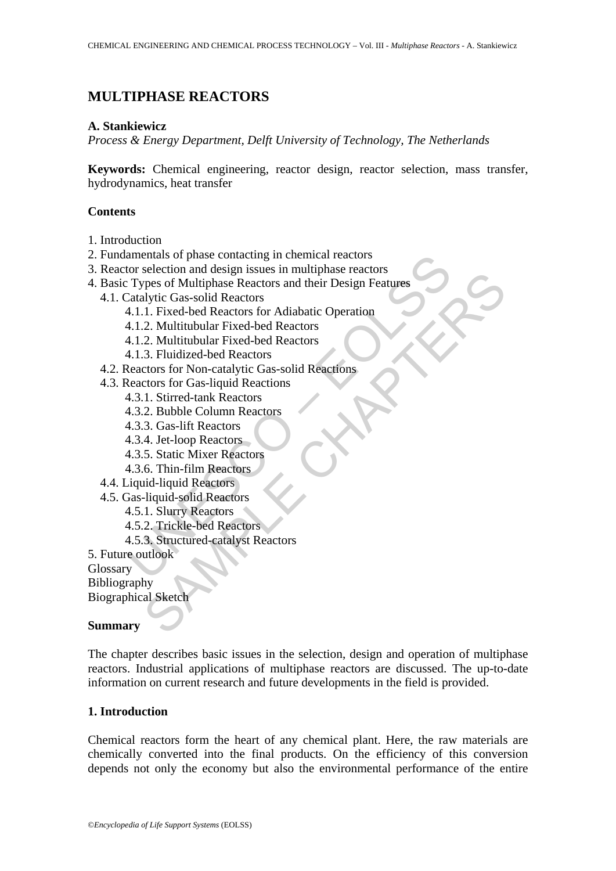# **MULTIPHASE REACTORS**

# **A. Stankiewicz**

*Process & Energy Department, Delft University of Technology, The Netherlands*

**Keywords:** Chemical engineering, reactor design, reactor selection, mass transfer, hydrodynamics, heat transfer

# **Contents**

- 1. Introduction
- 2. Fundamentals of phase contacting in chemical reactors
- 3. Reactor selection and design issues in multiphase reactors
- amentais of phase contacting in chemical reactors<br>
oto selection and design issues in multiphase reactors<br>
Types of Multiphase Reactors and their Design Features<br>
Catalytic Gas-solid Reactors<br>
4.1.1. Fixed-bed Reactors<br>
4. Section and exist in states Reactors and their Design Features<br>
The of Multiphase Reactors and their Design Features<br>
1. Fixed-bed Reactors for Adiabatic Operation<br>
2. Multitubular Fixed-bed Reactors<br>
2. Thulitubular Fixed 4. Basic Types of Multiphase Reactors and their Design Features
	- 4.1. Catalytic Gas-solid Reactors
		- 4.1.1. Fixed-bed Reactors for Adiabatic Operation
		- 4.1.2. Multitubular Fixed-bed Reactors
		- 4.1.2. Multitubular Fixed-bed Reactors
		- 4.1.3. Fluidized-bed Reactors
	- 4.2. Reactors for Non-catalytic Gas-solid Reactions
	- 4.3. Reactors for Gas-liquid Reactions
		- 4.3.1. Stirred-tank Reactors
		- 4.3.2. Bubble Column Reactors
		- 4.3.3. Gas-lift Reactors
		- 4.3.4. Jet-loop Reactors
		- 4.3.5. Static Mixer Reactors
		- 4.3.6. Thin-film Reactors
	- 4.4. Liquid-liquid Reactors
	- 4.5. Gas-liquid-solid Reactors
		- 4.5.1. Slurry Reactors
		- 4.5.2. Trickle-bed Reactors
		- 4.5.3. Structured-catalyst Reactors
- 5. Future outlook

**Glossary** 

Bibliography

Biographical Sketch

### **Summary**

The chapter describes basic issues in the selection, design and operation of multiphase reactors. Industrial applications of multiphase reactors are discussed. The up-to-date information on current research and future developments in the field is provided.

# **1. Introduction**

Chemical reactors form the heart of any chemical plant. Here, the raw materials are chemically converted into the final products. On the efficiency of this conversion depends not only the economy but also the environmental performance of the entire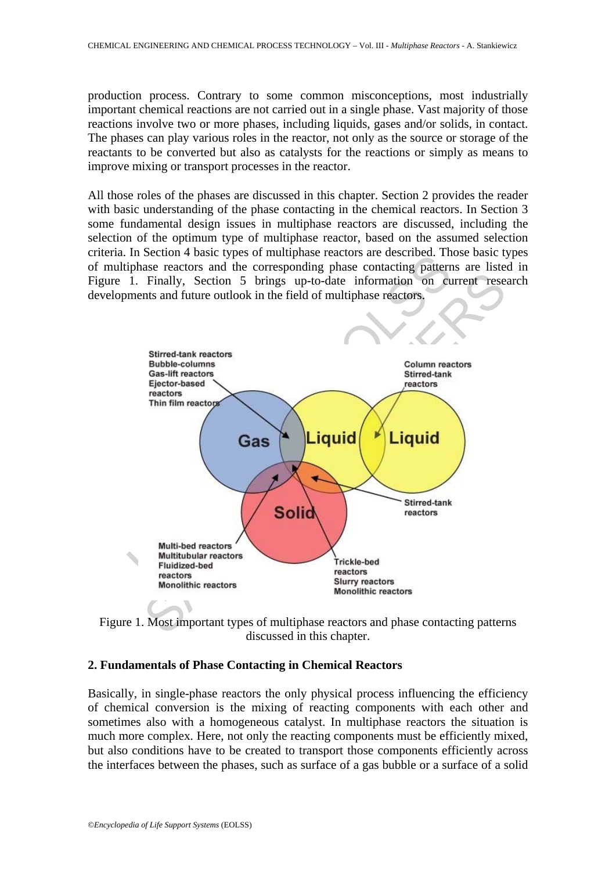production process. Contrary to some common misconceptions, most industrially important chemical reactions are not carried out in a single phase. Vast majority of those reactions involve two or more phases, including liquids, gases and/or solids, in contact. The phases can play various roles in the reactor, not only as the source or storage of the reactants to be converted but also as catalysts for the reactions or simply as means to improve mixing or transport processes in the reactor.

All those roles of the phases are discussed in this chapter. Section 2 provides the reader with basic understanding of the phase contacting in the chemical reactors. In Section 3 some fundamental design issues in multiphase reactors are discussed, including the selection of the optimum type of multiphase reactor, based on the assumed selection criteria. In Section 4 basic types of multiphase reactors are described. Those basic types of multiphase reactors and the corresponding phase contacting patterns are listed in Figure 1. Finally, Section 5 brings up-to-date information on current research developments and future outlook in the field of multiphase reactors.





# **2. Fundamentals of Phase Contacting in Chemical Reactors**

Basically, in single-phase reactors the only physical process influencing the efficiency of chemical conversion is the mixing of reacting components with each other and sometimes also with a homogeneous catalyst. In multiphase reactors the situation is much more complex. Here, not only the reacting components must be efficiently mixed, but also conditions have to be created to transport those components efficiently across the interfaces between the phases, such as surface of a gas bubble or a surface of a solid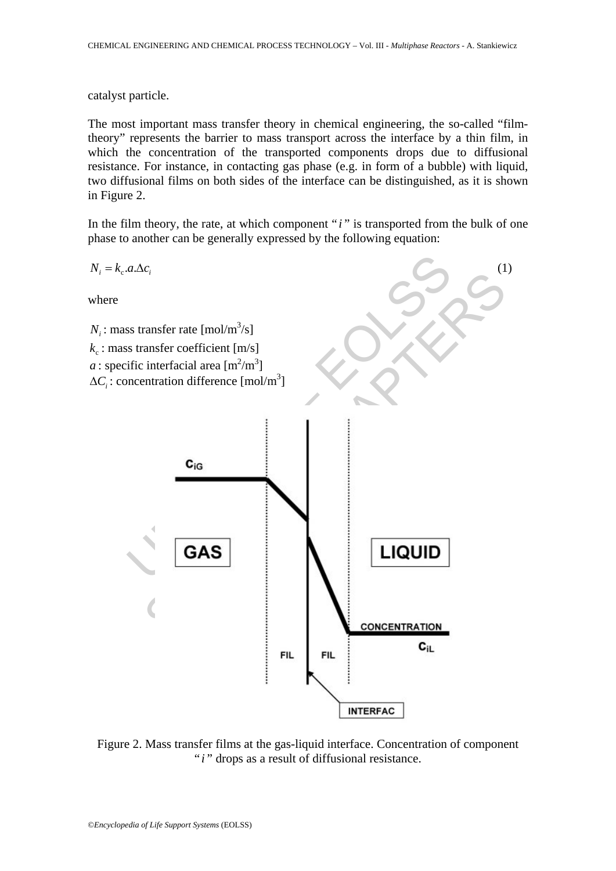catalyst particle.

The most important mass transfer theory in chemical engineering, the so-called "filmtheory" represents the barrier to mass transport across the interface by a thin film, in which the concentration of the transported components drops due to diffusional resistance. For instance, in contacting gas phase (e.g. in form of a bubble) with liquid, two diffusional films on both sides of the interface can be distinguished, as it is shown in Figure 2.

In the film theory, the rate, at which component " $i$ " is transported from the bulk of one phase to another can be generally expressed by the following equation:



Figure 2. Mass transfer films at the gas-liquid interface. Concentration of component "*i*" drops as a result of diffusional resistance.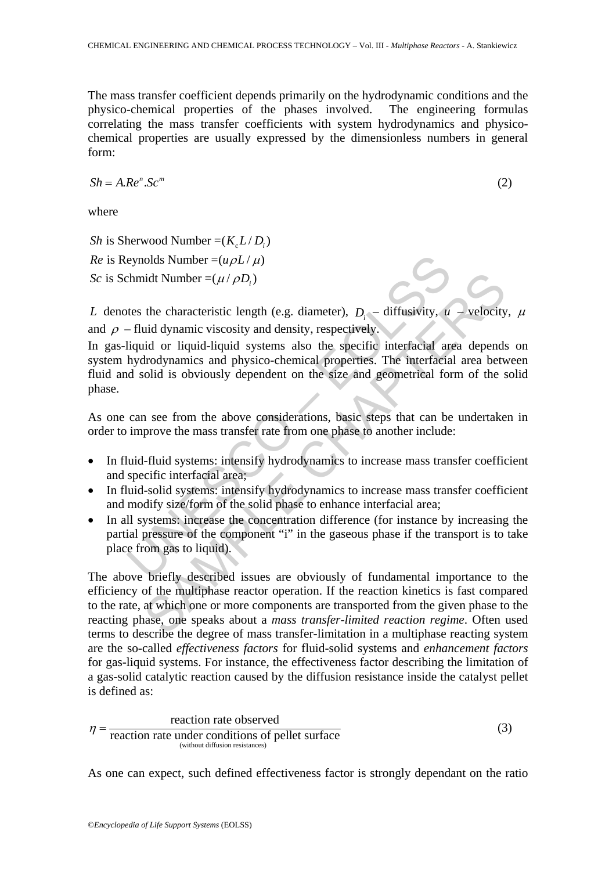The mass transfer coefficient depends primarily on the hydrodynamic conditions and the physico-chemical properties of the phases involved. The engineering formulas correlating the mass transfer coefficients with system hydrodynamics and physicochemical properties are usually expressed by the dimensionless numbers in general form:

$$
Sh = A \cdot Re^n \cdot Sc^m \tag{2}
$$

where

*Sh* is Sherwood Number =( $K_c L/D_i$ )

*Re* is Reynolds Number =  $(u \rho L / \mu)$ *Sc* is Schmidt Number =( $\mu / \rho D_i$ )

*L* denotes the characteristic length (e.g. diameter),  $D_i$  – diffusivity,  $u$  – velocity,  $\mu$ and  $\rho$  – fluid dynamic viscosity and density, respectively.

eynolds Number =  $(u\rho L/\mu)$ <br>chmidt Number =  $(u/\rho D_i)$ <br>thes the characteristic length (e.g. diameter),  $D_i$  – diffusivity,  $u$ <br>fluid dynamic viscosity and density, respectively.<br>liquid or liquid-liquid systems also the speci In gas-liquid or liquid-liquid systems also the specific interfacial area depends on system hydrodynamics and physico-chemical properties. The interfacial area between fluid and solid is obviously dependent on the size and geometrical form of the solid phase.

As one can see from the above considerations, basic steps that can be undertaken in order to improve the mass transfer rate from one phase to another include:

- In fluid-fluid systems: intensify hydrodynamics to increase mass transfer coefficient and specific interfacial area;
- In fluid-solid systems: intensify hydrodynamics to increase mass transfer coefficient and modify size/form of the solid phase to enhance interfacial area;
- In all systems: increase the concentration difference (for instance by increasing the partial pressure of the component "i" in the gaseous phase if the transport is to take place from gas to liquid).

hid Number =( $\mu$ / $\rho$ D<sub>i</sub>)<br>the characteristic length (e.g. diameter),  $D_i$  – diffusivity,  $u$  – velocity<br>ind dynamic viscosity and density, respectively.<br>the original-liquid systems also the specific interfacial area dep The above briefly described issues are obviously of fundamental importance to the efficiency of the multiphase reactor operation. If the reaction kinetics is fast compared to the rate, at which one or more components are transported from the given phase to the reacting phase, one speaks about a *mass transfer-limited reaction regime*. Often used terms to describe the degree of mass transfer-limitation in a multiphase reacting system are the so-called *effectiveness factors* for fluid-solid systems and *enhancement factors* for gas-liquid systems. For instance, the effectiveness factor describing the limitation of a gas-solid catalytic reaction caused by the diffusion resistance inside the catalyst pellet is defined as:

$$
\eta = \frac{\text{reaction rate observed}}{\text{reaction rate under conditions of pellet surface}}
$$
\n(3)

As one can expect, such defined effectiveness factor is strongly dependant on the ratio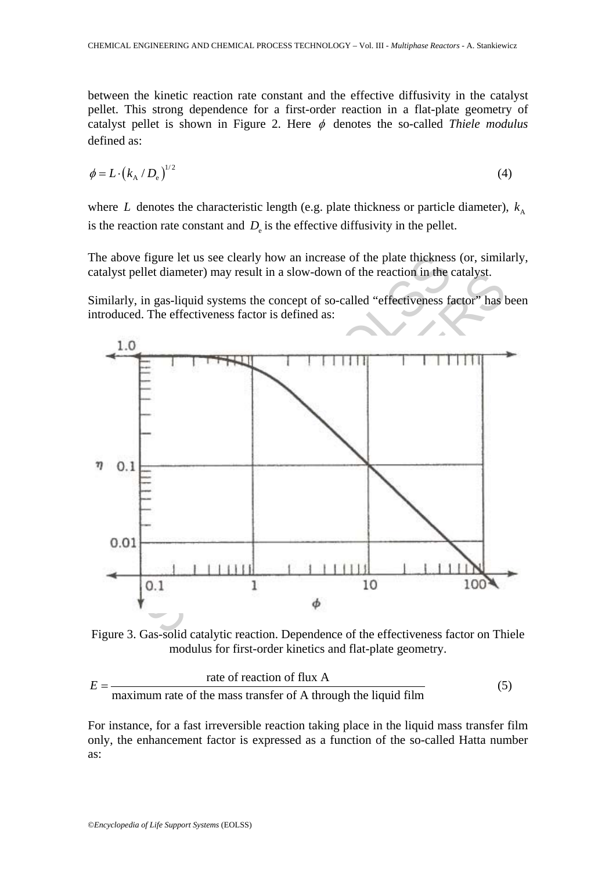between the kinetic reaction rate constant and the effective diffusivity in the catalyst pellet. This strong dependence for a first-order reaction in a flat-plate geometry of catalyst pellet is shown in Figure 2. Here  $\phi$  denotes the so-called *Thiele modulus* defined as:

$$
\phi = L \cdot \left( k_{\rm A} / D_{\rm e} \right)^{1/2} \tag{4}
$$

where *L* denotes the characteristic length (e.g. plate thickness or particle diameter),  $k_A$ is the reaction rate constant and  $D<sub>e</sub>$  is the effective diffusivity in the pellet.

The above figure let us see clearly how an increase of the plate thickness (or, similarly, catalyst pellet diameter) may result in a slow-down of the reaction in the catalyst.

Similarly, in gas-liquid systems the concept of so-called "effectiveness factor" has been introduced. The effectiveness factor is defined as:



Figure 3. Gas-solid catalytic reaction. Dependence of the effectiveness factor on Thiele modulus for first-order kinetics and flat-plate geometry.

$$
E = \frac{\text{rate of reaction of flux A}}{\text{maximum rate of the mass transfer of A through the liquid film}} \tag{5}
$$

For instance, for a fast irreversible reaction taking place in the liquid mass transfer film only, the enhancement factor is expressed as a function of the so-called Hatta number as: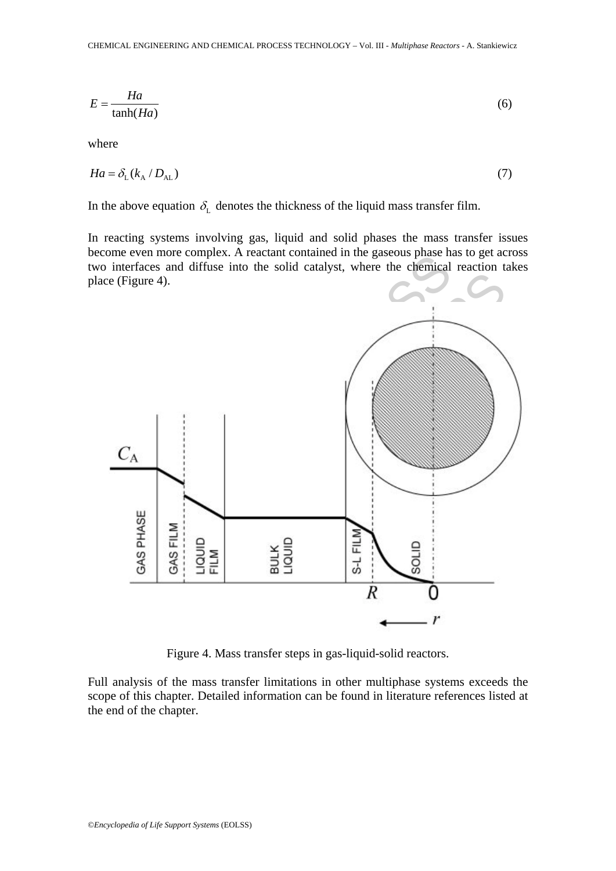$$
E = \frac{Ha}{\tanh(Ha)}\tag{6}
$$

where

$$
Ha = \delta_{\rm L}(k_{\rm A}/D_{\rm AL})\tag{7}
$$

In the above equation  $\delta_{\rm L}$  denotes the thickness of the liquid mass transfer film.

In reacting systems involving gas, liquid and solid phases the mass transfer issues become even more complex. A reactant contained in the gaseous phase has to get across two interfaces and diffuse into the solid catalyst, where the chemical reaction takes place (Figure 4).



Figure 4. Mass transfer steps in gas-liquid-solid reactors.

Full analysis of the mass transfer limitations in other multiphase systems exceeds the scope of this chapter. Detailed information can be found in literature references listed at the end of the chapter.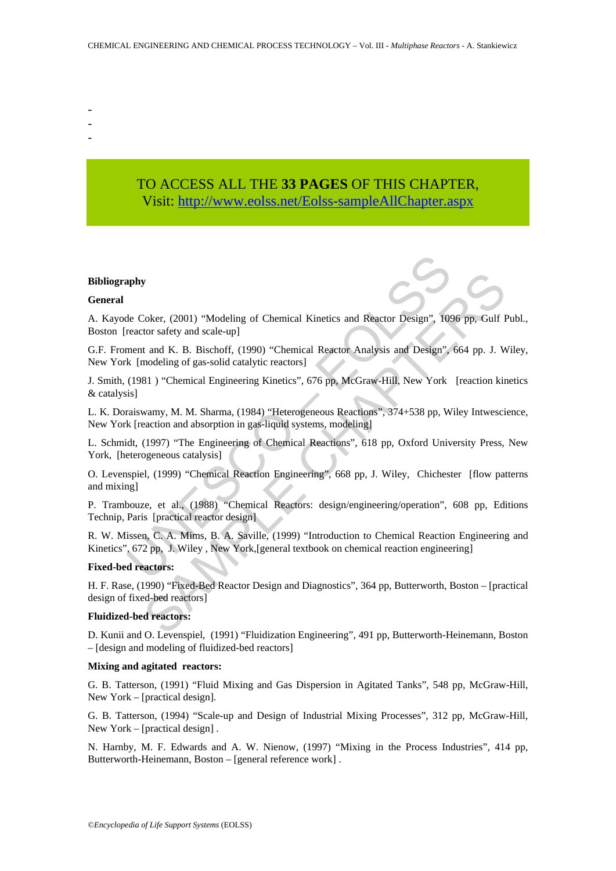- -
- -
- TO ACCESS ALL THE **33 PAGES** OF THIS CHAPTER, Visit[: http://www.eolss.net/Eolss-sampleAllChapter.aspx](https://www.eolss.net/ebooklib/sc_cart.aspx?File=E6-34-04-03)

#### **Bibliography**

### **General**

A. Kayode Coker, (2001) "Modeling of Chemical Kinetics and Reactor Design", 1096 pp, Gulf Publ., Boston [reactor safety and scale-up]

G.F. Froment and K. B. Bischoff, (1990) "Chemical Reactor Analysis and Design", 664 pp. J. Wiley, New York [modeling of gas-solid catalytic reactors]

**apply**<br>
He Coker, (2001) "Modeling of Chemical Kinetics and Reactor Design", 109<br>
reactor safety and scale-up]<br>
ment and K. B. Bischoff, (1990) "Chemical Reactor Analysis and Design",<br>
k [modeling of gas-solid catalytic r Solence, (2001) "Modeling of Chemical Kinetics and Reactor Design", 1096 pp. Gulf tor safety and scale-up]<br>
tor safety and scale-up]<br>
tor safety and scale-up]<br>
modeling of gas-solid catalytic reactors (1960) "Chemical Reac J. Smith, (1981 ) "Chemical Engineering Kinetics", 676 pp, McGraw-Hill, New York [reaction kinetics & catalysis]

L. K. Doraiswamy, M. M. Sharma, (1984) "Heterogeneous Reactions", 374+538 pp, Wiley Intwescience, New York [reaction and absorption in gas-liquid systems, modeling]

L. Schmidt, (1997) "The Engineering of Chemical Reactions", 618 pp, Oxford University Press, New York, [heterogeneous catalysis]

O. Levenspiel, (1999) "Chemical Reaction Engineering", 668 pp, J. Wiley, Chichester [flow patterns and mixing]

P. Trambouze, et al., (1988) "Chemical Reactors: design/engineering/operation", 608 pp, Editions Technip, Paris [practical reactor design]

R. W. Missen, C. A. Mims, B. A. Saville, (1999) "Introduction to Chemical Reaction Engineering and Kinetics", 672 pp, J. Wiley , New York,[general textbook on chemical reaction engineering]

### **Fixed-bed reactors:**

H. F. Rase, (1990) "Fixed-Bed Reactor Design and Diagnostics", 364 pp, Butterworth, Boston – [practical design of fixed-bed reactors]

### **Fluidized-bed reactors:**

D. Kunii and O. Levenspiel, (1991) "Fluidization Engineering", 491 pp, Butterworth-Heinemann, Boston – [design and modeling of fluidized-bed reactors]

#### **Mixing and agitated reactors:**

G. B. Tatterson, (1991) "Fluid Mixing and Gas Dispersion in Agitated Tanks", 548 pp, McGraw-Hill, New York – [practical design].

G. B. Tatterson, (1994) "Scale-up and Design of Industrial Mixing Processes", 312 pp, McGraw-Hill, New York – [practical design] .

N. Harnby, M. F. Edwards and A. W. Nienow, (1997) "Mixing in the Process Industries", 414 pp, Butterworth-Heinemann, Boston – [general reference work] .